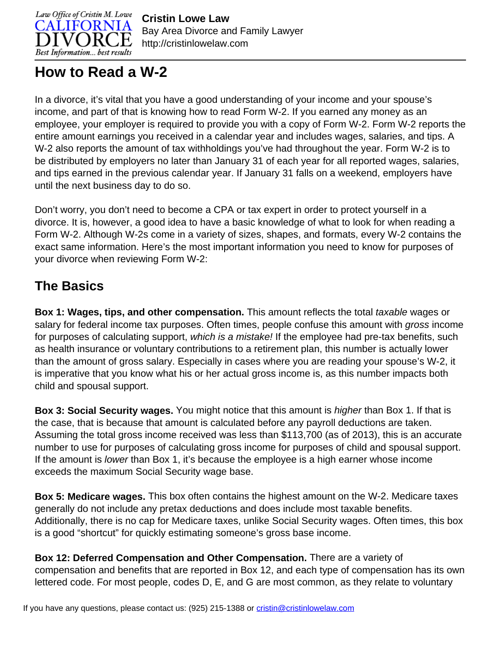

**Cristin Lowe Law** Bay Area Divorce and Family Lawyer http://cristinlowelaw.com

## **How to Read a W-2**

In a divorce, it's vital that you have a good understanding of your income and your spouse's income, and part of that is knowing how to read Form W-2. If you earned any money as an employee, your employer is required to provide you with a copy of Form W-2. Form W-2 reports the entire amount earnings you received in a calendar year and includes wages, salaries, and tips. A W-2 also reports the amount of tax withholdings you've had throughout the year. Form W-2 is to be distributed by employers no later than January 31 of each year for all reported wages, salaries, and tips earned in the previous calendar year. If January 31 falls on a weekend, employers have until the next business day to do so.

Don't worry, you don't need to become a CPA or tax expert in order to protect yourself in a divorce. It is, however, a good idea to have a basic knowledge of what to look for when reading a Form W-2. Although W-2s come in a variety of sizes, shapes, and formats, every W-2 contains the exact same information. Here's the most important information you need to know for purposes of your divorce when reviewing Form W-2:

## **The Basics**

**Box 1: Wages, tips, and other compensation.** This amount reflects the total taxable wages or salary for federal income tax purposes. Often times, people confuse this amount with gross income for purposes of calculating support, which is a mistake! If the employee had pre-tax benefits, such as health insurance or voluntary contributions to a retirement plan, this number is actually lower than the amount of gross salary. Especially in cases where you are reading your spouse's W-2, it is imperative that you know what his or her actual gross income is, as this number impacts both child and spousal support.

**Box 3: Social Security wages.** You might notice that this amount is higher than Box 1. If that is the case, that is because that amount is calculated before any payroll deductions are taken. Assuming the total gross income received was less than \$113,700 (as of 2013), this is an accurate number to use for purposes of calculating gross income for purposes of child and spousal support. If the amount is lower than Box 1, it's because the employee is a high earner whose income exceeds the maximum Social Security wage base.

**Box 5: Medicare wages.** This box often contains the highest amount on the W-2. Medicare taxes generally do not include any pretax deductions and does include most taxable benefits. Additionally, there is no cap for Medicare taxes, unlike Social Security wages. Often times, this box is a good "shortcut" for quickly estimating someone's gross base income.

**Box 12: Deferred Compensation and Other Compensation.** There are a variety of compensation and benefits that are reported in Box 12, and each type of compensation has its own lettered code. For most people, codes D, E, and G are most common, as they relate to voluntary